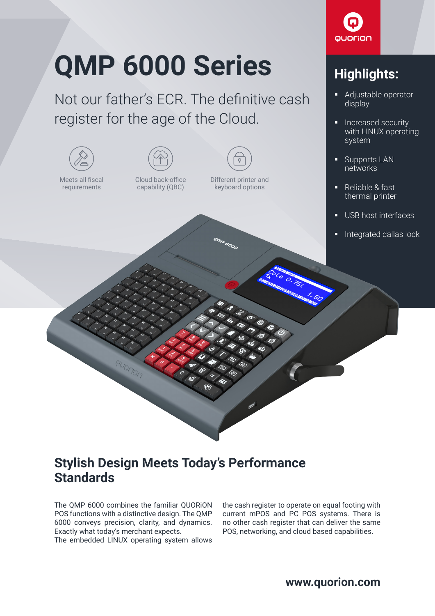## **QMP 6000 Series**

Not our father's ECR. The definitive cash register for the age of the Cloud.



## **Stylish Design Meets Today's Performance Standards**

The QMP 6000 combines the familiar QUORiON POS functions with a distinctive design. The QMP 6000 conveys precision, clarity, and dynamics. Exactly what today's merchant expects.

The embedded LINUX operating system allows

the cash register to operate on equal footing with current mPOS and PC POS systems. There is no other cash register that can deliver the same POS, networking, and cloud based capabilities.



## **Highlights:**

- Adjustable operator display
- Increased security with LINUX operating system
- Supports LAN networks
- Reliable & fast thermal printer
- USB host interfaces
- Integrated dallas lock